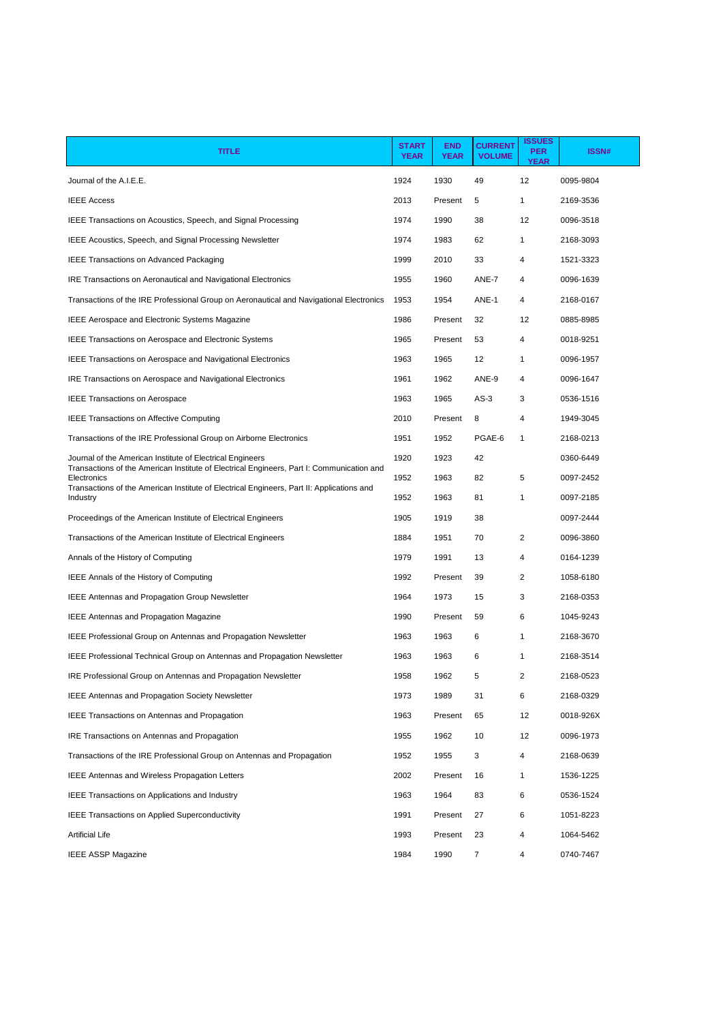| <b>TITLE</b>                                                                                             | <b>START</b><br><b>YEAR</b> | <b>END</b><br><b>YEAR</b> | <b>CURRENT</b><br><b>VOLUME</b> | <b>ISSUES</b><br><b>PER</b><br><b>YEAR</b> | <b>ISSN#</b> |
|----------------------------------------------------------------------------------------------------------|-----------------------------|---------------------------|---------------------------------|--------------------------------------------|--------------|
| Journal of the A.I.E.E.                                                                                  | 1924                        | 1930                      | 49                              | 12                                         | 0095-9804    |
| <b>IEEE Access</b>                                                                                       | 2013                        | Present                   | 5                               | 1                                          | 2169-3536    |
| IEEE Transactions on Acoustics, Speech, and Signal Processing                                            | 1974                        | 1990                      | 38                              | 12                                         | 0096-3518    |
| IEEE Acoustics, Speech, and Signal Processing Newsletter                                                 | 1974                        | 1983                      | 62                              | 1                                          | 2168-3093    |
| <b>IEEE Transactions on Advanced Packaging</b>                                                           | 1999                        | 2010                      | 33                              | 4                                          | 1521-3323    |
| IRE Transactions on Aeronautical and Navigational Electronics                                            | 1955                        | 1960                      | ANE-7                           | 4                                          | 0096-1639    |
| Transactions of the IRE Professional Group on Aeronautical and Navigational Electronics                  | 1953                        | 1954                      | ANE-1                           | 4                                          | 2168-0167    |
| <b>IEEE Aerospace and Electronic Systems Magazine</b>                                                    | 1986                        | Present                   | 32                              | 12                                         | 0885-8985    |
| <b>IEEE Transactions on Aerospace and Electronic Systems</b>                                             | 1965                        | Present                   | 53                              | 4                                          | 0018-9251    |
| <b>IEEE Transactions on Aerospace and Navigational Electronics</b>                                       | 1963                        | 1965                      | 12                              | $\mathbf{1}$                               | 0096-1957    |
| IRE Transactions on Aerospace and Navigational Electronics                                               | 1961                        | 1962                      | ANE-9                           | 4                                          | 0096-1647    |
| <b>IEEE Transactions on Aerospace</b>                                                                    | 1963                        | 1965                      | $AS-3$                          | 3                                          | 0536-1516    |
| <b>IEEE Transactions on Affective Computing</b>                                                          | 2010                        | Present                   | 8                               | 4                                          | 1949-3045    |
| Transactions of the IRE Professional Group on Airborne Electronics                                       | 1951                        | 1952                      | PGAE-6                          | 1                                          | 2168-0213    |
| Journal of the American Institute of Electrical Engineers                                                | 1920                        | 1923                      | 42                              |                                            | 0360-6449    |
| Transactions of the American Institute of Electrical Engineers, Part I: Communication and<br>Electronics | 1952                        | 1963                      | 82                              | 5                                          | 0097-2452    |
| Transactions of the American Institute of Electrical Engineers, Part II: Applications and<br>Industry    | 1952                        | 1963                      | 81                              | $\mathbf{1}$                               | 0097-2185    |
| Proceedings of the American Institute of Electrical Engineers                                            | 1905                        | 1919                      | 38                              |                                            | 0097-2444    |
| Transactions of the American Institute of Electrical Engineers                                           | 1884                        | 1951                      | 70                              | 2                                          | 0096-3860    |
| Annals of the History of Computing                                                                       | 1979                        | 1991                      | 13                              | 4                                          | 0164-1239    |
| IEEE Annals of the History of Computing                                                                  | 1992                        | Present                   | 39                              | 2                                          | 1058-6180    |
| <b>IEEE Antennas and Propagation Group Newsletter</b>                                                    | 1964                        | 1973                      | 15                              | 3                                          | 2168-0353    |
| <b>IEEE Antennas and Propagation Magazine</b>                                                            | 1990                        | Present                   | 59                              | 6                                          | 1045-9243    |
| <b>IEEE Professional Group on Antennas and Propagation Newsletter</b>                                    | 1963                        | 1963                      | 6                               | $\mathbf{1}$                               | 2168-3670    |
| <b>IEEE Professional Technical Group on Antennas and Propagation Newsletter</b>                          | 1963                        | 1963                      | 6                               | 1                                          | 2168-3514    |
| IRE Professional Group on Antennas and Propagation Newsletter                                            | 1958                        | 1962                      | 5                               | 2                                          | 2168-0523    |
| <b>IEEE Antennas and Propagation Society Newsletter</b>                                                  | 1973                        | 1989                      | 31                              | 6                                          | 2168-0329    |
| <b>IEEE Transactions on Antennas and Propagation</b>                                                     | 1963                        | Present                   | 65                              | 12                                         | 0018-926X    |
| IRE Transactions on Antennas and Propagation                                                             | 1955                        | 1962                      | 10                              | 12                                         | 0096-1973    |
| Transactions of the IRE Professional Group on Antennas and Propagation                                   | 1952                        | 1955                      | 3                               | 4                                          | 2168-0639    |
| IEEE Antennas and Wireless Propagation Letters                                                           | 2002                        | Present                   | 16                              | $\mathbf{1}$                               | 1536-1225    |
| <b>IEEE Transactions on Applications and Industry</b>                                                    | 1963                        | 1964                      | 83                              | 6                                          | 0536-1524    |
| <b>IEEE Transactions on Applied Superconductivity</b>                                                    | 1991                        | Present                   | 27                              | 6                                          | 1051-8223    |
| <b>Artificial Life</b>                                                                                   | 1993                        | Present                   | 23                              | 4                                          | 1064-5462    |
| <b>IEEE ASSP Magazine</b>                                                                                | 1984                        | 1990                      | 7                               | 4                                          | 0740-7467    |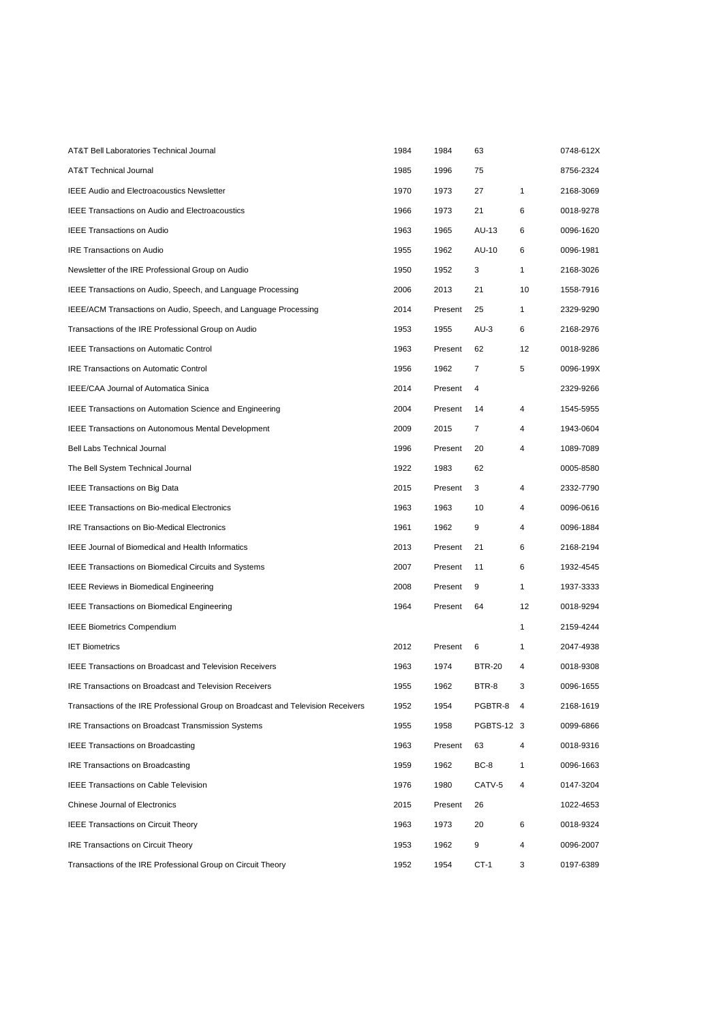| AT&T Bell Laboratories Technical Journal                                         | 1984 | 1984    | 63             |              | 0748-612X |
|----------------------------------------------------------------------------------|------|---------|----------------|--------------|-----------|
| AT&T Technical Journal                                                           | 1985 | 1996    | 75             |              | 8756-2324 |
| <b>IEEE Audio and Electroacoustics Newsletter</b>                                | 1970 | 1973    | 27             | $\mathbf{1}$ | 2168-3069 |
| <b>IEEE Transactions on Audio and Electroacoustics</b>                           | 1966 | 1973    | 21             | 6            | 0018-9278 |
| <b>IEEE Transactions on Audio</b>                                                | 1963 | 1965    | AU-13          | 6            | 0096-1620 |
| <b>IRE Transactions on Audio</b>                                                 | 1955 | 1962    | AU-10          | 6            | 0096-1981 |
| Newsletter of the IRE Professional Group on Audio                                | 1950 | 1952    | 3              | $\mathbf{1}$ | 2168-3026 |
| IEEE Transactions on Audio, Speech, and Language Processing                      | 2006 | 2013    | 21             | 10           | 1558-7916 |
| IEEE/ACM Transactions on Audio, Speech, and Language Processing                  | 2014 | Present | 25             | $\mathbf{1}$ | 2329-9290 |
| Transactions of the IRE Professional Group on Audio                              | 1953 | 1955    | $AU-3$         | 6            | 2168-2976 |
| <b>IEEE Transactions on Automatic Control</b>                                    | 1963 | Present | 62             | 12           | 0018-9286 |
| <b>IRE Transactions on Automatic Control</b>                                     | 1956 | 1962    | 7              | 5            | 0096-199X |
| IEEE/CAA Journal of Automatica Sinica                                            | 2014 | Present | 4              |              | 2329-9266 |
| <b>IEEE Transactions on Automation Science and Engineering</b>                   | 2004 | Present | 14             | 4            | 1545-5955 |
| <b>IEEE Transactions on Autonomous Mental Development</b>                        | 2009 | 2015    | $\overline{7}$ | 4            | 1943-0604 |
| <b>Bell Labs Technical Journal</b>                                               | 1996 | Present | 20             | 4            | 1089-7089 |
| The Bell System Technical Journal                                                | 1922 | 1983    | 62             |              | 0005-8580 |
| <b>IEEE Transactions on Big Data</b>                                             | 2015 | Present | 3              | 4            | 2332-7790 |
| IEEE Transactions on Bio-medical Electronics                                     | 1963 | 1963    | 10             | 4            | 0096-0616 |
| <b>IRE Transactions on Bio-Medical Electronics</b>                               | 1961 | 1962    | 9              | 4            | 0096-1884 |
| <b>IEEE Journal of Biomedical and Health Informatics</b>                         | 2013 | Present | 21             | 6            | 2168-2194 |
| <b>IEEE Transactions on Biomedical Circuits and Systems</b>                      | 2007 | Present | 11             | 6            | 1932-4545 |
| <b>IEEE Reviews in Biomedical Engineering</b>                                    | 2008 | Present | 9              | $\mathbf{1}$ | 1937-3333 |
| <b>IEEE Transactions on Biomedical Engineering</b>                               | 1964 | Present | 64             | 12           | 0018-9294 |
| <b>IEEE Biometrics Compendium</b>                                                |      |         |                | $\mathbf{1}$ | 2159-4244 |
| <b>IET Biometrics</b>                                                            | 2012 | Present | 6              | $\mathbf{1}$ | 2047-4938 |
| <b>IEEE Transactions on Broadcast and Television Receivers</b>                   | 1963 | 1974    | <b>BTR-20</b>  | 4            | 0018-9308 |
| <b>IRE Transactions on Broadcast and Television Receivers</b>                    | 1955 | 1962    | BTR-8          | 3            | 0096-1655 |
| Transactions of the IRE Professional Group on Broadcast and Television Receivers | 1952 | 1954    | PGBTR-8 4      |              | 2168-1619 |
| IRE Transactions on Broadcast Transmission Systems                               | 1955 | 1958    | PGBTS-12 3     |              | 0099-6866 |
| <b>IEEE Transactions on Broadcasting</b>                                         | 1963 | Present | 63             | 4            | 0018-9316 |
| <b>IRE Transactions on Broadcasting</b>                                          | 1959 | 1962    | BC-8           | $\mathbf{1}$ | 0096-1663 |
| IEEE Transactions on Cable Television                                            | 1976 | 1980    | CATV-5         | 4            | 0147-3204 |
| <b>Chinese Journal of Electronics</b>                                            | 2015 | Present | 26             |              | 1022-4653 |
| <b>IEEE Transactions on Circuit Theory</b>                                       | 1963 | 1973    | 20             | 6            | 0018-9324 |
| <b>IRE Transactions on Circuit Theory</b>                                        | 1953 | 1962    | 9              | 4            | 0096-2007 |
| Transactions of the IRE Professional Group on Circuit Theory                     | 1952 | 1954    | $CT-1$         | 3            | 0197-6389 |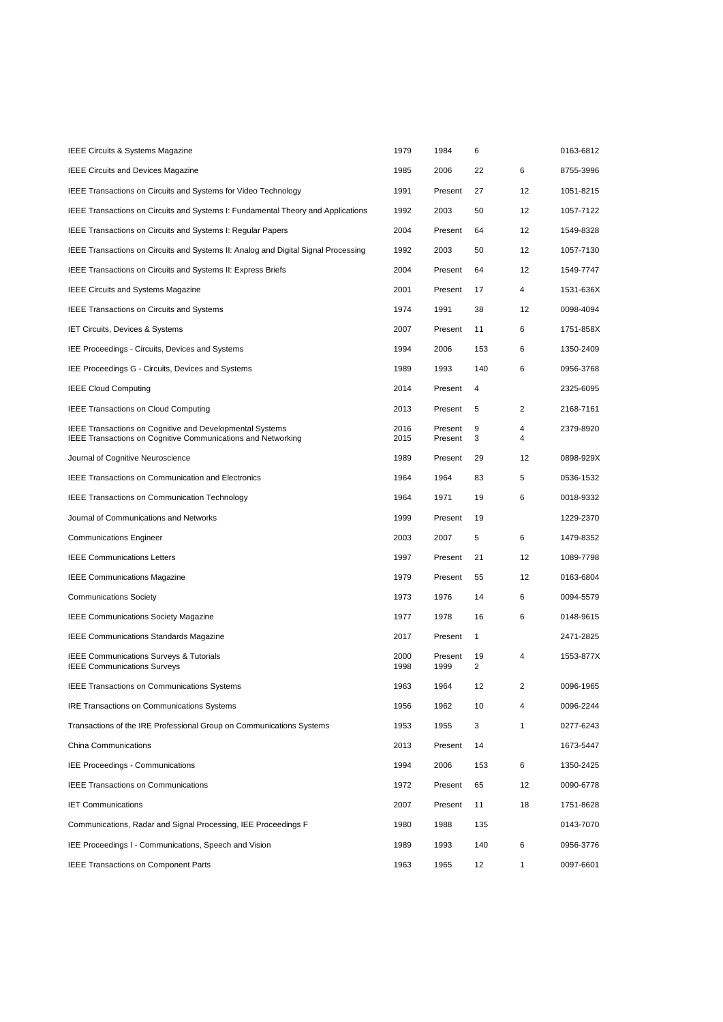| IEEE Circuits & Systems Magazine                                                                                                       | 1979         | 1984               | 6                    |        | 0163-6812 |
|----------------------------------------------------------------------------------------------------------------------------------------|--------------|--------------------|----------------------|--------|-----------|
| <b>IEEE Circuits and Devices Magazine</b>                                                                                              | 1985         | 2006               | 22                   | 6      | 8755-3996 |
| IEEE Transactions on Circuits and Systems for Video Technology                                                                         | 1991         | Present            | 27                   | 12     | 1051-8215 |
| IEEE Transactions on Circuits and Systems I: Fundamental Theory and Applications                                                       | 1992         | 2003               | 50                   | 12     | 1057-7122 |
| IEEE Transactions on Circuits and Systems I: Regular Papers                                                                            | 2004         | Present            | 64                   | 12     | 1549-8328 |
| IEEE Transactions on Circuits and Systems II: Analog and Digital Signal Processing                                                     | 1992         | 2003               | 50                   | 12     | 1057-7130 |
| IEEE Transactions on Circuits and Systems II: Express Briefs                                                                           | 2004         | Present            | 64                   | 12     | 1549-7747 |
| <b>IEEE Circuits and Systems Magazine</b>                                                                                              | 2001         | Present            | 17                   | 4      | 1531-636X |
| <b>IEEE Transactions on Circuits and Systems</b>                                                                                       | 1974         | 1991               | 38                   | 12     | 0098-4094 |
| IET Circuits, Devices & Systems                                                                                                        | 2007         | Present            | 11                   | 6      | 1751-858X |
| IEE Proceedings - Circuits, Devices and Systems                                                                                        | 1994         | 2006               | 153                  | 6      | 1350-2409 |
| IEE Proceedings G - Circuits, Devices and Systems                                                                                      | 1989         | 1993               | 140                  | 6      | 0956-3768 |
| <b>IEEE Cloud Computing</b>                                                                                                            | 2014         | Present            | 4                    |        | 2325-6095 |
| <b>IEEE Transactions on Cloud Computing</b>                                                                                            | 2013         | Present            | 5                    | 2      | 2168-7161 |
| <b>IEEE Transactions on Cognitive and Developmental Systems</b><br><b>IEEE Transactions on Cognitive Communications and Networking</b> | 2016<br>2015 | Present<br>Present | 9<br>3               | 4<br>4 | 2379-8920 |
| Journal of Cognitive Neuroscience                                                                                                      | 1989         | Present            | 29                   | 12     | 0898-929X |
| <b>IEEE Transactions on Communication and Electronics</b>                                                                              | 1964         | 1964               | 83                   | 5      | 0536-1532 |
| <b>IEEE Transactions on Communication Technology</b>                                                                                   | 1964         | 1971               | 19                   | 6      | 0018-9332 |
| Journal of Communications and Networks                                                                                                 | 1999         | Present            | 19                   |        | 1229-2370 |
| <b>Communications Engineer</b>                                                                                                         | 2003         | 2007               | 5                    | 6      | 1479-8352 |
| <b>IEEE Communications Letters</b>                                                                                                     | 1997         | Present            | 21                   | 12     | 1089-7798 |
| <b>IEEE Communications Magazine</b>                                                                                                    | 1979         | Present            | 55                   | 12     | 0163-6804 |
| <b>Communications Society</b>                                                                                                          | 1973         | 1976               | 14                   | 6      | 0094-5579 |
| <b>IEEE Communications Society Magazine</b>                                                                                            | 1977         | 1978               | 16                   | 6      | 0148-9615 |
| <b>IEEE Communications Standards Magazine</b>                                                                                          | 2017         | Present            | 1                    |        | 2471-2825 |
| <b>IEEE Communications Surveys &amp; Tutorials</b><br><b>IEEE Communications Surveys</b>                                               | 2000<br>1998 | Present<br>1999    | 19<br>$\overline{2}$ | 4      | 1553-877X |
| <b>IEEE Transactions on Communications Systems</b>                                                                                     | 1963         | 1964               | 12                   | 2      | 0096-1965 |
| <b>IRE Transactions on Communications Systems</b>                                                                                      | 1956         | 1962               | 10                   | 4      | 0096-2244 |
| Transactions of the IRE Professional Group on Communications Systems                                                                   | 1953         | 1955               | 3                    | 1      | 0277-6243 |
| China Communications                                                                                                                   | 2013         | Present            | 14                   |        | 1673-5447 |
| <b>IEE Proceedings - Communications</b>                                                                                                | 1994         | 2006               | 153                  | 6      | 1350-2425 |
| <b>IEEE Transactions on Communications</b>                                                                                             | 1972         | Present            | 65                   | 12     | 0090-6778 |
| <b>IET Communications</b>                                                                                                              | 2007         | Present            | 11                   | 18     | 1751-8628 |
| Communications, Radar and Signal Processing, IEE Proceedings F                                                                         | 1980         | 1988               | 135                  |        | 0143-7070 |
| IEE Proceedings I - Communications, Speech and Vision                                                                                  | 1989         | 1993               | 140                  | 6      | 0956-3776 |
| <b>IEEE Transactions on Component Parts</b>                                                                                            | 1963         | 1965               | 12                   | 1      | 0097-6601 |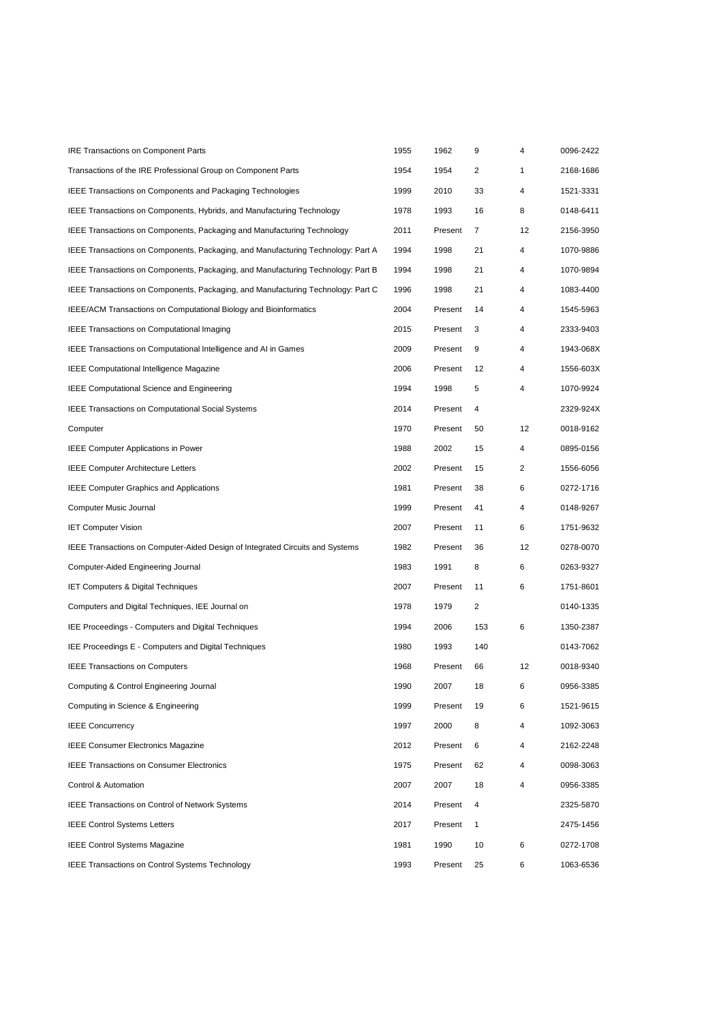| <b>IRE Transactions on Component Parts</b>                                       | 1955 | 1962    | 9            | 4  | 0096-2422 |
|----------------------------------------------------------------------------------|------|---------|--------------|----|-----------|
| Transactions of the IRE Professional Group on Component Parts                    | 1954 | 1954    | 2            | 1  | 2168-1686 |
| IEEE Transactions on Components and Packaging Technologies                       | 1999 | 2010    | 33           | 4  | 1521-3331 |
| IEEE Transactions on Components, Hybrids, and Manufacturing Technology           | 1978 | 1993    | 16           | 8  | 0148-6411 |
| IEEE Transactions on Components, Packaging and Manufacturing Technology          | 2011 | Present | 7            | 12 | 2156-3950 |
| IEEE Transactions on Components, Packaging, and Manufacturing Technology: Part A | 1994 | 1998    | 21           | 4  | 1070-9886 |
| IEEE Transactions on Components, Packaging, and Manufacturing Technology: Part B | 1994 | 1998    | 21           | 4  | 1070-9894 |
| IEEE Transactions on Components, Packaging, and Manufacturing Technology: Part C | 1996 | 1998    | 21           | 4  | 1083-4400 |
| IEEE/ACM Transactions on Computational Biology and Bioinformatics                | 2004 | Present | 14           | 4  | 1545-5963 |
| <b>IEEE Transactions on Computational Imaging</b>                                | 2015 | Present | 3            | 4  | 2333-9403 |
| IEEE Transactions on Computational Intelligence and AI in Games                  | 2009 | Present | 9            | 4  | 1943-068X |
| <b>IEEE Computational Intelligence Magazine</b>                                  | 2006 | Present | 12           | 4  | 1556-603X |
| <b>IEEE Computational Science and Engineering</b>                                | 1994 | 1998    | 5            | 4  | 1070-9924 |
| <b>IEEE Transactions on Computational Social Systems</b>                         | 2014 | Present | 4            |    | 2329-924X |
| Computer                                                                         | 1970 | Present | 50           | 12 | 0018-9162 |
| <b>IEEE Computer Applications in Power</b>                                       | 1988 | 2002    | 15           | 4  | 0895-0156 |
| <b>IEEE Computer Architecture Letters</b>                                        | 2002 | Present | 15           | 2  | 1556-6056 |
| <b>IEEE Computer Graphics and Applications</b>                                   | 1981 | Present | 38           | 6  | 0272-1716 |
| Computer Music Journal                                                           | 1999 | Present | 41           | 4  | 0148-9267 |
| <b>IET Computer Vision</b>                                                       | 2007 | Present | 11           | 6  | 1751-9632 |
| IEEE Transactions on Computer-Aided Design of Integrated Circuits and Systems    | 1982 | Present | 36           | 12 | 0278-0070 |
| Computer-Aided Engineering Journal                                               | 1983 | 1991    | 8            | 6  | 0263-9327 |
| <b>IET Computers &amp; Digital Techniques</b>                                    | 2007 | Present | 11           | 6  | 1751-8601 |
| Computers and Digital Techniques, IEE Journal on                                 | 1978 | 1979    | 2            |    | 0140-1335 |
| IEE Proceedings - Computers and Digital Techniques                               | 1994 | 2006    | 153          | 6  | 1350-2387 |
| IEE Proceedings E - Computers and Digital Techniques                             | 1980 | 1993    | 140          |    | 0143-7062 |
| <b>IEEE Transactions on Computers</b>                                            | 1968 | Present | 66           | 12 | 0018-9340 |
| Computing & Control Engineering Journal                                          | 1990 | 2007    | 18           | 6  | 0956-3385 |
| Computing in Science & Engineering                                               | 1999 | Present | 19           | 6  | 1521-9615 |
| <b>IEEE Concurrency</b>                                                          | 1997 | 2000    | 8            | 4  | 1092-3063 |
| <b>IEEE Consumer Electronics Magazine</b>                                        | 2012 | Present | 6            | 4  | 2162-2248 |
| <b>IEEE Transactions on Consumer Electronics</b>                                 | 1975 | Present | 62           | 4  | 0098-3063 |
| Control & Automation                                                             | 2007 | 2007    | 18           | 4  | 0956-3385 |
| <b>IEEE Transactions on Control of Network Systems</b>                           | 2014 | Present | 4            |    | 2325-5870 |
| <b>IEEE Control Systems Letters</b>                                              | 2017 | Present | $\mathbf{1}$ |    | 2475-1456 |
| <b>IEEE Control Systems Magazine</b>                                             | 1981 | 1990    | 10           | 6  | 0272-1708 |
| IEEE Transactions on Control Systems Technology                                  | 1993 | Present | 25           | 6  | 1063-6536 |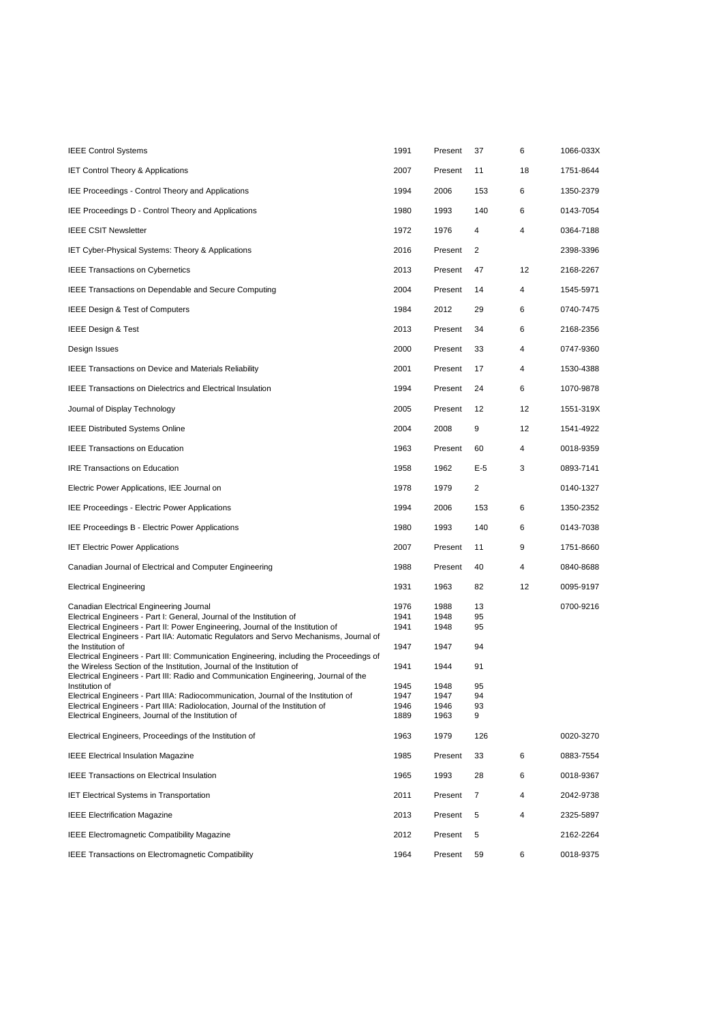| <b>IEEE Control Systems</b>                                                                                                                                    | 1991         | Present      | 37       | 6  | 1066-033X |
|----------------------------------------------------------------------------------------------------------------------------------------------------------------|--------------|--------------|----------|----|-----------|
| IET Control Theory & Applications                                                                                                                              | 2007         | Present      | 11       | 18 | 1751-8644 |
| IEE Proceedings - Control Theory and Applications                                                                                                              | 1994         | 2006         | 153      | 6  | 1350-2379 |
| IEE Proceedings D - Control Theory and Applications                                                                                                            | 1980         | 1993         | 140      | 6  | 0143-7054 |
| <b>IEEE CSIT Newsletter</b>                                                                                                                                    | 1972         | 1976         | 4        | 4  | 0364-7188 |
| IET Cyber-Physical Systems: Theory & Applications                                                                                                              | 2016         | Present      | 2        |    | 2398-3396 |
| <b>IEEE Transactions on Cybernetics</b>                                                                                                                        | 2013         | Present      | 47       | 12 | 2168-2267 |
| IEEE Transactions on Dependable and Secure Computing                                                                                                           | 2004         | Present      | 14       | 4  | 1545-5971 |
| IEEE Design & Test of Computers                                                                                                                                | 1984         | 2012         | 29       | 6  | 0740-7475 |
| <b>IEEE Design &amp; Test</b>                                                                                                                                  | 2013         | Present      | 34       | 6  | 2168-2356 |
| Design Issues                                                                                                                                                  | 2000         | Present      | 33       | 4  | 0747-9360 |
| <b>IEEE Transactions on Device and Materials Reliability</b>                                                                                                   | 2001         | Present      | 17       | 4  | 1530-4388 |
| <b>IEEE Transactions on Dielectrics and Electrical Insulation</b>                                                                                              | 1994         | Present      | 24       | 6  | 1070-9878 |
| Journal of Display Technology                                                                                                                                  | 2005         | Present      | 12       | 12 | 1551-319X |
| <b>IEEE Distributed Systems Online</b>                                                                                                                         | 2004         | 2008         | 9        | 12 | 1541-4922 |
| <b>IEEE Transactions on Education</b>                                                                                                                          | 1963         | Present      | 60       | 4  | 0018-9359 |
| <b>IRE Transactions on Education</b>                                                                                                                           | 1958         | 1962         | $E-5$    | 3  | 0893-7141 |
| Electric Power Applications, IEE Journal on                                                                                                                    | 1978         | 1979         | 2        |    | 0140-1327 |
| IEE Proceedings - Electric Power Applications                                                                                                                  | 1994         | 2006         | 153      | 6  | 1350-2352 |
| IEE Proceedings B - Electric Power Applications                                                                                                                | 1980         | 1993         | 140      | 6  | 0143-7038 |
| <b>IET Electric Power Applications</b>                                                                                                                         | 2007         | Present      | 11       | 9  | 1751-8660 |
| Canadian Journal of Electrical and Computer Engineering                                                                                                        | 1988         | Present      | 40       | 4  | 0840-8688 |
| <b>Electrical Engineering</b>                                                                                                                                  | 1931         | 1963         | 82       | 12 | 0095-9197 |
| Canadian Electrical Engineering Journal                                                                                                                        | 1976         | 1988         | 13       |    | 0700-9216 |
| Electrical Engineers - Part I: General, Journal of the Institution of<br>Electrical Engineers - Part II: Power Engineering, Journal of the Institution of      | 1941<br>1941 | 1948<br>1948 | 95<br>95 |    |           |
| Electrical Engineers - Part IIA: Automatic Regulators and Servo Mechanisms, Journal of<br>the Institution of                                                   | 1947         | 1947         | 94       |    |           |
| Electrical Engineers - Part III: Communication Engineering, including the Proceedings of                                                                       |              |              |          |    |           |
| the Wireless Section of the Institution, Journal of the Institution of<br>Electrical Engineers - Part III: Radio and Communication Engineering, Journal of the | 1941         | 1944         | 91       |    |           |
| Institution of                                                                                                                                                 | 1945         | 1948         | 95       |    |           |
| Electrical Engineers - Part IIIA: Radiocommunication, Journal of the Institution of                                                                            | 1947         | 1947         | 94       |    |           |
| Electrical Engineers - Part IIIA: Radiolocation, Journal of the Institution of<br>Electrical Engineers, Journal of the Institution of                          | 1946<br>1889 | 1946<br>1963 | 93<br>9  |    |           |
|                                                                                                                                                                |              |              |          |    |           |
| Electrical Engineers, Proceedings of the Institution of                                                                                                        | 1963         | 1979         | 126      |    | 0020-3270 |
| <b>IEEE Electrical Insulation Magazine</b>                                                                                                                     | 1985         | Present      | 33       | 6  | 0883-7554 |
| <b>IEEE Transactions on Electrical Insulation</b>                                                                                                              | 1965         | 1993         | 28       | 6  | 0018-9367 |
| <b>IET Electrical Systems in Transportation</b>                                                                                                                | 2011         | Present      | 7        | 4  | 2042-9738 |
| <b>IEEE Electrification Magazine</b>                                                                                                                           | 2013         | Present      | 5        | 4  | 2325-5897 |
| <b>IEEE Electromagnetic Compatibility Magazine</b>                                                                                                             | 2012         | Present      | 5        |    | 2162-2264 |
| <b>IEEE Transactions on Electromagnetic Compatibility</b>                                                                                                      | 1964         | Present      | 59       | 6  | 0018-9375 |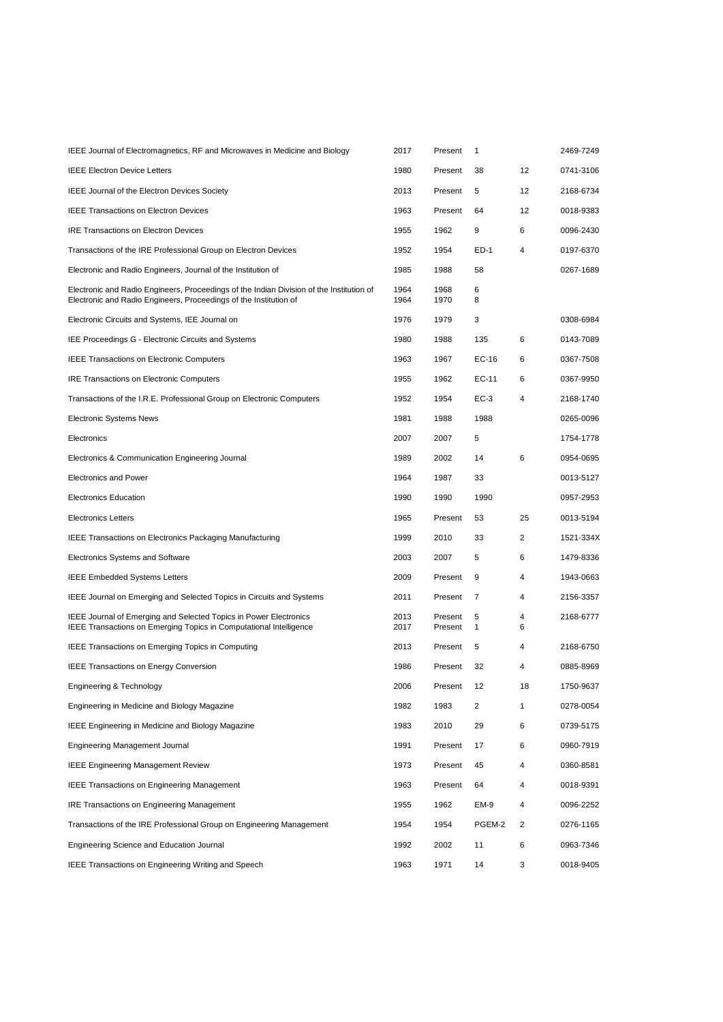| IEEE Journal of Electromagnetics, RF and Microwaves in Medicine and Biology                                                                                   | 2017         | Present            | 1      |        | 2469-7249 |
|---------------------------------------------------------------------------------------------------------------------------------------------------------------|--------------|--------------------|--------|--------|-----------|
| <b>IEEE Electron Device Letters</b>                                                                                                                           | 1980         | Present            | 38     | 12     | 0741-3106 |
| IEEE Journal of the Electron Devices Society                                                                                                                  | 2013         | Present            | 5      | 12     | 2168-6734 |
| <b>IEEE Transactions on Electron Devices</b>                                                                                                                  | 1963         | Present            | 64     | 12     | 0018-9383 |
| <b>IRE Transactions on Electron Devices</b>                                                                                                                   | 1955         | 1962               | 9      | 6      | 0096-2430 |
| Transactions of the IRE Professional Group on Electron Devices                                                                                                | 1952         | 1954               | ED-1   | 4      | 0197-6370 |
| Electronic and Radio Engineers, Journal of the Institution of                                                                                                 | 1985         | 1988               | 58     |        | 0267-1689 |
| Electronic and Radio Engineers, Proceedings of the Indian Division of the Institution of<br>Electronic and Radio Engineers, Proceedings of the Institution of | 1964<br>1964 | 1968<br>1970       | 6<br>8 |        |           |
| Electronic Circuits and Systems, IEE Journal on                                                                                                               | 1976         | 1979               | 3      |        | 0308-6984 |
| IEE Proceedings G - Electronic Circuits and Systems                                                                                                           | 1980         | 1988               | 135    | 6      | 0143-7089 |
| <b>IEEE Transactions on Electronic Computers</b>                                                                                                              | 1963         | 1967               | EC-16  | 6      | 0367-7508 |
| <b>IRE Transactions on Electronic Computers</b>                                                                                                               | 1955         | 1962               | EC-11  | 6      | 0367-9950 |
| Transactions of the I.R.E. Professional Group on Electronic Computers                                                                                         | 1952         | 1954               | $EC-3$ | 4      | 2168-1740 |
| <b>Electronic Systems News</b>                                                                                                                                | 1981         | 1988               | 1988   |        | 0265-0096 |
| Electronics                                                                                                                                                   | 2007         | 2007               | 5      |        | 1754-1778 |
| Electronics & Communication Engineering Journal                                                                                                               | 1989         | 2002               | 14     | 6      | 0954-0695 |
| <b>Electronics and Power</b>                                                                                                                                  | 1964         | 1987               | 33     |        | 0013-5127 |
| <b>Electronics Education</b>                                                                                                                                  | 1990         | 1990               | 1990   |        | 0957-2953 |
|                                                                                                                                                               |              |                    |        |        |           |
| <b>Electronics Letters</b>                                                                                                                                    | 1965         | Present            | 53     | 25     | 0013-5194 |
| IEEE Transactions on Electronics Packaging Manufacturing                                                                                                      | 1999         | 2010               | 33     | 2      | 1521-334X |
| Electronics Systems and Software                                                                                                                              | 2003         | 2007               | 5      | 6      | 1479-8336 |
| <b>IEEE Embedded Systems Letters</b>                                                                                                                          | 2009         | Present            | 9      | 4      | 1943-0663 |
| IEEE Journal on Emerging and Selected Topics in Circuits and Systems                                                                                          | 2011         | Present            | 7      | 4      | 2156-3357 |
| IEEE Journal of Emerging and Selected Topics in Power Electronics<br>IEEE Transactions on Emerging Topics in Computational Intelligence                       | 2013<br>2017 | Present<br>Present | 5<br>1 | 4<br>6 | 2168-6777 |
| IEEE Transactions on Emerging Topics in Computing                                                                                                             | 2013         | Present            | 5      | 4      | 2168-6750 |
| <b>IEEE Transactions on Energy Conversion</b>                                                                                                                 | 1986         | Present            | 32     | 4      | 0885-8969 |
| Engineering & Technology                                                                                                                                      | 2006         | Present            | 12     | 18     | 1750-9637 |
| Engineering in Medicine and Biology Magazine                                                                                                                  | 1982         | 1983               | 2      | 1      | 0278-0054 |
| <b>IEEE Engineering in Medicine and Biology Magazine</b>                                                                                                      | 1983         | 2010               | 29     | 6      | 0739-5175 |
| Engineering Management Journal                                                                                                                                | 1991         | Present            | 17     | 6      | 0960-7919 |
| <b>IEEE Engineering Management Review</b>                                                                                                                     | 1973         | Present            | 45     | 4      | 0360-8581 |
| <b>IEEE Transactions on Engineering Management</b>                                                                                                            | 1963         | Present            | 64     | 4      | 0018-9391 |
| <b>IRE Transactions on Engineering Management</b>                                                                                                             | 1955         | 1962               | EM-9   | 4      | 0096-2252 |
| Transactions of the IRE Professional Group on Engineering Management                                                                                          | 1954         | 1954               | PGEM-2 | 2      | 0276-1165 |
| Engineering Science and Education Journal                                                                                                                     | 1992         | 2002               | 11     | 6      | 0963-7346 |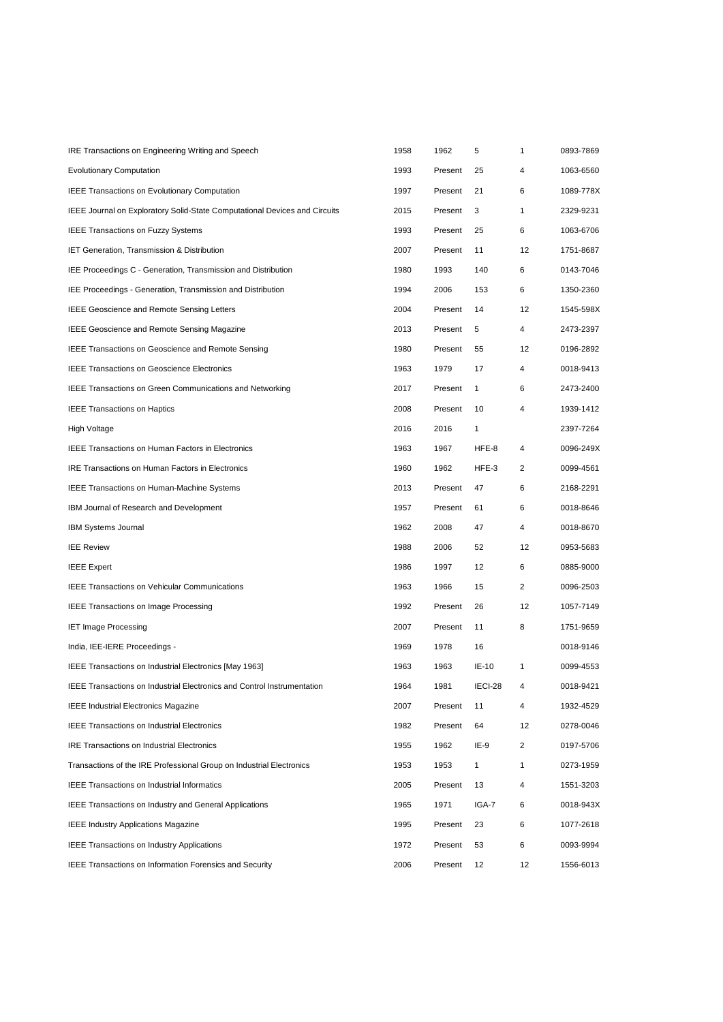| IRE Transactions on Engineering Writing and Speech                                | 1958 | 1962    | 5            | 1              | 0893-7869 |
|-----------------------------------------------------------------------------------|------|---------|--------------|----------------|-----------|
| <b>Evolutionary Computation</b>                                                   | 1993 | Present | 25           | 4              | 1063-6560 |
| IEEE Transactions on Evolutionary Computation                                     | 1997 | Present | 21           | 6              | 1089-778X |
| <b>IEEE Journal on Exploratory Solid-State Computational Devices and Circuits</b> | 2015 | Present | 3            | $\mathbf{1}$   | 2329-9231 |
| <b>IEEE Transactions on Fuzzy Systems</b>                                         | 1993 | Present | 25           | 6              | 1063-6706 |
| IET Generation, Transmission & Distribution                                       | 2007 | Present | 11           | 12             | 1751-8687 |
| IEE Proceedings C - Generation, Transmission and Distribution                     | 1980 | 1993    | 140          | 6              | 0143-7046 |
| IEE Proceedings - Generation, Transmission and Distribution                       | 1994 | 2006    | 153          | 6              | 1350-2360 |
| <b>IEEE Geoscience and Remote Sensing Letters</b>                                 | 2004 | Present | 14           | 12             | 1545-598X |
| <b>IEEE Geoscience and Remote Sensing Magazine</b>                                | 2013 | Present | 5            | 4              | 2473-2397 |
| <b>IEEE Transactions on Geoscience and Remote Sensing</b>                         | 1980 | Present | 55           | 12             | 0196-2892 |
| <b>IEEE Transactions on Geoscience Electronics</b>                                | 1963 | 1979    | 17           | 4              | 0018-9413 |
| <b>IEEE Transactions on Green Communications and Networking</b>                   | 2017 | Present | $\mathbf{1}$ | 6              | 2473-2400 |
| <b>IEEE Transactions on Haptics</b>                                               | 2008 | Present | 10           | 4              | 1939-1412 |
| <b>High Voltage</b>                                                               | 2016 | 2016    | $\mathbf{1}$ |                | 2397-7264 |
| <b>IEEE Transactions on Human Factors in Electronics</b>                          | 1963 | 1967    | HFE-8        | 4              | 0096-249X |
| <b>IRE Transactions on Human Factors in Electronics</b>                           | 1960 | 1962    | HFE-3        | 2              | 0099-4561 |
| <b>IEEE Transactions on Human-Machine Systems</b>                                 | 2013 | Present | 47           | 6              | 2168-2291 |
| IBM Journal of Research and Development                                           | 1957 | Present | 61           | 6              | 0018-8646 |
| <b>IBM Systems Journal</b>                                                        | 1962 | 2008    | 47           | 4              | 0018-8670 |
| <b>IEE Review</b>                                                                 | 1988 | 2006    | 52           | 12             | 0953-5683 |
| <b>IEEE Expert</b>                                                                | 1986 | 1997    | 12           | 6              | 0885-9000 |
| <b>IEEE Transactions on Vehicular Communications</b>                              | 1963 | 1966    | 15           | $\overline{2}$ | 0096-2503 |
| <b>IEEE Transactions on Image Processing</b>                                      | 1992 | Present | 26           | 12             | 1057-7149 |
| <b>IET Image Processing</b>                                                       | 2007 | Present | 11           | 8              | 1751-9659 |
| India, IEE-IERE Proceedings -                                                     | 1969 | 1978    | 16           |                | 0018-9146 |
| IEEE Transactions on Industrial Electronics [May 1963]                            | 1963 | 1963    | IE-10        | $\mathbf{1}$   | 0099-4553 |
| <b>IEEE Transactions on Industrial Electronics and Control Instrumentation</b>    | 1964 | 1981    | IECI-28      | 4              | 0018-9421 |
| <b>IEEE Industrial Electronics Magazine</b>                                       | 2007 | Present | 11           | 4              | 1932-4529 |
| <b>IEEE Transactions on Industrial Electronics</b>                                | 1982 | Present | 64           | 12             | 0278-0046 |
| <b>IRE Transactions on Industrial Electronics</b>                                 | 1955 | 1962    | IE-9         | $\overline{2}$ | 0197-5706 |
| Transactions of the IRE Professional Group on Industrial Electronics              | 1953 | 1953    | $\mathbf{1}$ | $\mathbf{1}$   | 0273-1959 |
| <b>IEEE Transactions on Industrial Informatics</b>                                | 2005 | Present | 13           | 4              | 1551-3203 |
| <b>IEEE Transactions on Industry and General Applications</b>                     | 1965 | 1971    | IGA-7        | 6              | 0018-943X |
| <b>IEEE Industry Applications Magazine</b>                                        | 1995 | Present | 23           | 6              | 1077-2618 |
| <b>IEEE Transactions on Industry Applications</b>                                 | 1972 | Present | 53           | 6              | 0093-9994 |
| <b>IEEE Transactions on Information Forensics and Security</b>                    | 2006 | Present | 12           | 12             | 1556-6013 |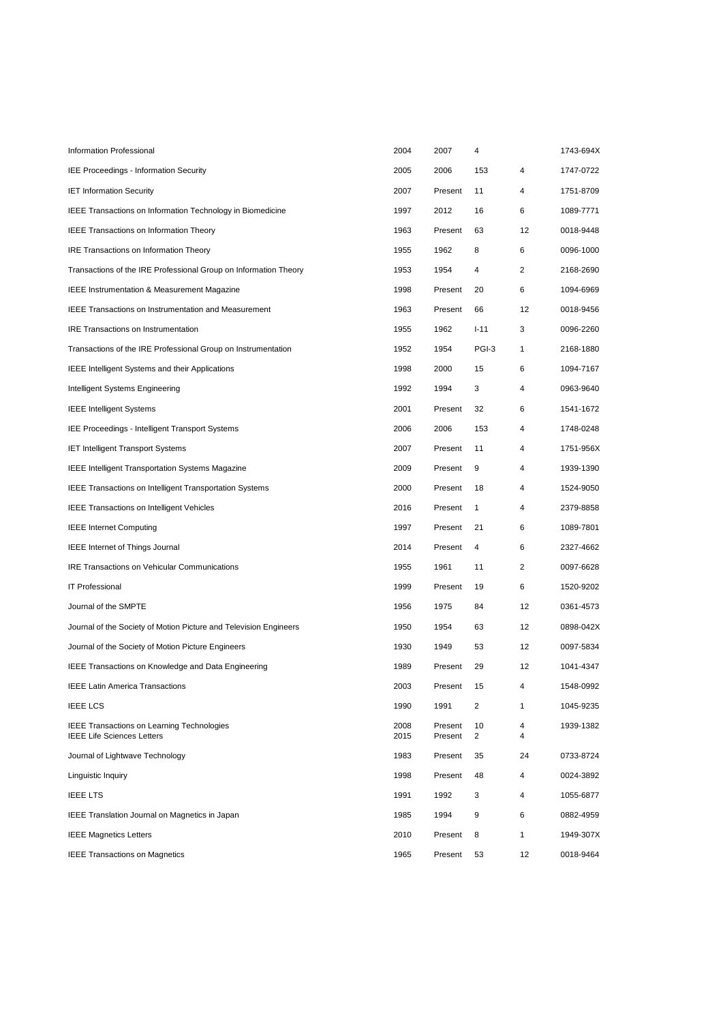| Information Professional                                                               | 2004         | 2007               | 4            |              | 1743-694X |
|----------------------------------------------------------------------------------------|--------------|--------------------|--------------|--------------|-----------|
| <b>IEE Proceedings - Information Security</b>                                          | 2005         | 2006               | 153          | 4            | 1747-0722 |
| <b>IET Information Security</b>                                                        | 2007         | Present            | 11           | 4            | 1751-8709 |
| <b>IEEE Transactions on Information Technology in Biomedicine</b>                      | 1997         | 2012               | 16           | 6            | 1089-7771 |
| <b>IEEE Transactions on Information Theory</b>                                         | 1963         | Present            | 63           | 12           | 0018-9448 |
| IRE Transactions on Information Theory                                                 | 1955         | 1962               | 8            | 6            | 0096-1000 |
| Transactions of the IRE Professional Group on Information Theory                       | 1953         | 1954               | 4            | 2            | 2168-2690 |
| <b>IEEE Instrumentation &amp; Measurement Magazine</b>                                 | 1998         | Present            | 20           | 6            | 1094-6969 |
| <b>IEEE Transactions on Instrumentation and Measurement</b>                            | 1963         | Present            | 66           | 12           | 0018-9456 |
| IRE Transactions on Instrumentation                                                    | 1955         | 1962               | $I - 11$     | 3            | 0096-2260 |
| Transactions of the IRE Professional Group on Instrumentation                          | 1952         | 1954               | PGI-3        | $\mathbf{1}$ | 2168-1880 |
| <b>IEEE Intelligent Systems and their Applications</b>                                 | 1998         | 2000               | 15           | 6            | 1094-7167 |
| Intelligent Systems Engineering                                                        | 1992         | 1994               | 3            | 4            | 0963-9640 |
| <b>IEEE Intelligent Systems</b>                                                        | 2001         | Present            | 32           | 6            | 1541-1672 |
| IEE Proceedings - Intelligent Transport Systems                                        | 2006         | 2006               | 153          | 4            | 1748-0248 |
| <b>IET Intelligent Transport Systems</b>                                               | 2007         | Present            | 11           | 4            | 1751-956X |
| <b>IEEE Intelligent Transportation Systems Magazine</b>                                | 2009         | Present            | 9            | 4            | 1939-1390 |
| <b>IEEE Transactions on Intelligent Transportation Systems</b>                         | 2000         | Present            | 18           | 4            | 1524-9050 |
| <b>IEEE Transactions on Intelligent Vehicles</b>                                       | 2016         | Present            | $\mathbf{1}$ | 4            | 2379-8858 |
| <b>IEEE Internet Computing</b>                                                         | 1997         | Present            | 21           | 6            | 1089-7801 |
| <b>IEEE</b> Internet of Things Journal                                                 | 2014         | Present            | 4            | 6            | 2327-4662 |
| <b>IRE Transactions on Vehicular Communications</b>                                    | 1955         | 1961               | 11           | 2            | 0097-6628 |
| <b>IT Professional</b>                                                                 | 1999         | Present            | 19           | 6            | 1520-9202 |
| Journal of the SMPTE                                                                   | 1956         | 1975               | 84           | 12           | 0361-4573 |
| Journal of the Society of Motion Picture and Television Engineers                      | 1950         | 1954               | 63           | 12           | 0898-042X |
| Journal of the Society of Motion Picture Engineers                                     | 1930         | 1949               | 53           | 12           | 0097-5834 |
| IEEE Transactions on Knowledge and Data Engineering                                    | 1989         | Present            | 29           | 12           | 1041-4347 |
| <b>IEEE Latin America Transactions</b>                                                 | 2003         | Present 15         |              | 4            | 1548-0992 |
| <b>IEEE LCS</b>                                                                        | 1990         | 1991               | 2            | 1            | 1045-9235 |
| <b>IEEE Transactions on Learning Technologies</b><br><b>IEEE Life Sciences Letters</b> | 2008<br>2015 | Present<br>Present | 10<br>2      | 4<br>4       | 1939-1382 |
| Journal of Lightwave Technology                                                        | 1983         | Present            | 35           | 24           | 0733-8724 |
| Linguistic Inquiry                                                                     | 1998         | Present            | 48           | 4            | 0024-3892 |
| <b>IEEE LTS</b>                                                                        | 1991         | 1992               | 3            | 4            | 1055-6877 |
| IEEE Translation Journal on Magnetics in Japan                                         | 1985         | 1994               | 9            | 6            | 0882-4959 |
| <b>IEEE Magnetics Letters</b>                                                          | 2010         | Present            | 8            | 1            | 1949-307X |
| <b>IEEE Transactions on Magnetics</b>                                                  | 1965         | Present            | 53           | 12           | 0018-9464 |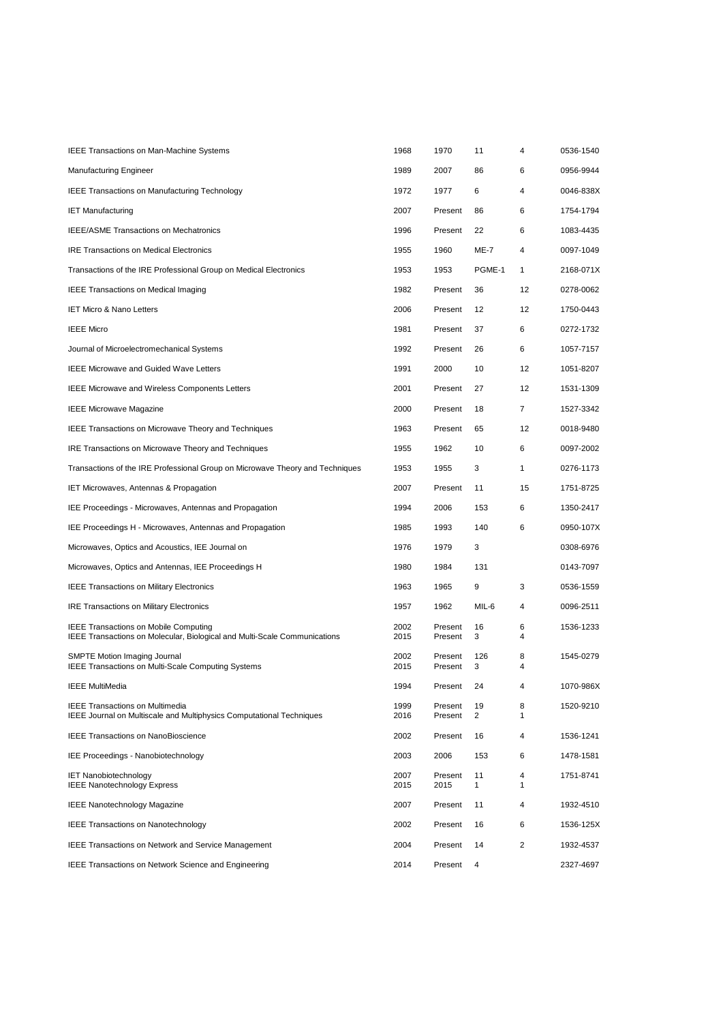| <b>IEEE Transactions on Man-Machine Systems</b>                                                                | 1968         | 1970               | 11       | 4            | 0536-1540 |
|----------------------------------------------------------------------------------------------------------------|--------------|--------------------|----------|--------------|-----------|
| Manufacturing Engineer                                                                                         | 1989         | 2007               | 86       | 6            | 0956-9944 |
| <b>IEEE Transactions on Manufacturing Technology</b>                                                           | 1972         | 1977               | 6        | 4            | 0046-838X |
| <b>IET Manufacturing</b>                                                                                       | 2007         | Present            | 86       | 6            | 1754-1794 |
| <b>IEEE/ASME Transactions on Mechatronics</b>                                                                  | 1996         | Present            | 22       | 6            | 1083-4435 |
| <b>IRE Transactions on Medical Electronics</b>                                                                 | 1955         | 1960               | ME-7     | 4            | 0097-1049 |
| Transactions of the IRE Professional Group on Medical Electronics                                              | 1953         | 1953               | PGME-1   | 1            | 2168-071X |
| <b>IEEE Transactions on Medical Imaging</b>                                                                    | 1982         | Present            | 36       | 12           | 0278-0062 |
| <b>IET Micro &amp; Nano Letters</b>                                                                            | 2006         | Present            | 12       | 12           | 1750-0443 |
| <b>IEEE Micro</b>                                                                                              | 1981         | Present            | 37       | 6            | 0272-1732 |
| Journal of Microelectromechanical Systems                                                                      | 1992         | Present            | 26       | 6            | 1057-7157 |
| <b>IEEE Microwave and Guided Wave Letters</b>                                                                  | 1991         | 2000               | 10       | 12           | 1051-8207 |
| <b>IEEE Microwave and Wireless Components Letters</b>                                                          | 2001         | Present            | 27       | 12           | 1531-1309 |
| <b>IEEE Microwave Magazine</b>                                                                                 | 2000         | Present            | 18       | 7            | 1527-3342 |
| <b>IEEE Transactions on Microwave Theory and Techniques</b>                                                    | 1963         | Present            | 65       | 12           | 0018-9480 |
| IRE Transactions on Microwave Theory and Techniques                                                            | 1955         | 1962               | 10       | 6            | 0097-2002 |
| Transactions of the IRE Professional Group on Microwave Theory and Techniques                                  | 1953         | 1955               | 3        | $\mathbf{1}$ | 0276-1173 |
| <b>IET Microwaves, Antennas &amp; Propagation</b>                                                              | 2007         | Present            | 11       | 15           | 1751-8725 |
| IEE Proceedings - Microwaves, Antennas and Propagation                                                         | 1994         | 2006               | 153      | 6            | 1350-2417 |
| IEE Proceedings H - Microwaves, Antennas and Propagation                                                       | 1985         | 1993               | 140      | 6            | 0950-107X |
| Microwaves, Optics and Acoustics, IEE Journal on                                                               | 1976         | 1979               | 3        |              | 0308-6976 |
| Microwaves, Optics and Antennas, IEE Proceedings H                                                             | 1980         | 1984               | 131      |              | 0143-7097 |
| <b>IEEE Transactions on Military Electronics</b>                                                               | 1963         | 1965               | 9        | 3            | 0536-1559 |
| <b>IRE Transactions on Military Electronics</b>                                                                | 1957         | 1962               | MIL-6    | 4            | 0096-2511 |
| <b>IEEE Transactions on Mobile Computing</b>                                                                   | 2002         | Present            | 16       | 6            | 1536-1233 |
| IEEE Transactions on Molecular, Biological and Multi-Scale Communications                                      | 2015         | Present<br>Present | 3        | 4            |           |
| SMPTE Motion Imaging Journal<br>IEEE Transactions on Multi-Scale Computing Systems                             | 2002<br>2015 | Present            | 126<br>3 | 8<br>4       | 1545-0279 |
| <b>IEEE MultiMedia</b>                                                                                         | 1994         | Present            | 24       |              | 1070-986X |
| <b>IEEE Transactions on Multimedia</b><br>IEEE Journal on Multiscale and Multiphysics Computational Techniques | 1999<br>2016 | Present<br>Present | 19<br>2  | 8<br>1       | 1520-9210 |
| <b>IEEE Transactions on NanoBioscience</b>                                                                     | 2002         | Present            | 16       | 4            | 1536-1241 |
| IEE Proceedings - Nanobiotechnology                                                                            | 2003         | 2006               | 153      | 6            | 1478-1581 |
| <b>IET Nanobiotechnology</b><br><b>IEEE Nanotechnology Express</b>                                             | 2007<br>2015 | Present<br>2015    | 11<br>1  | 4<br>1       | 1751-8741 |
| <b>IEEE Nanotechnology Magazine</b>                                                                            | 2007         | Present            | 11       | 4            | 1932-4510 |
| <b>IEEE Transactions on Nanotechnology</b>                                                                     | 2002         | Present            | 16       | 6            | 1536-125X |
| <b>IEEE Transactions on Network and Service Management</b>                                                     | 2004         | Present            | 14       | 2            | 1932-4537 |
| <b>IEEE Transactions on Network Science and Engineering</b>                                                    | 2014         | Present            | 4        |              | 2327-4697 |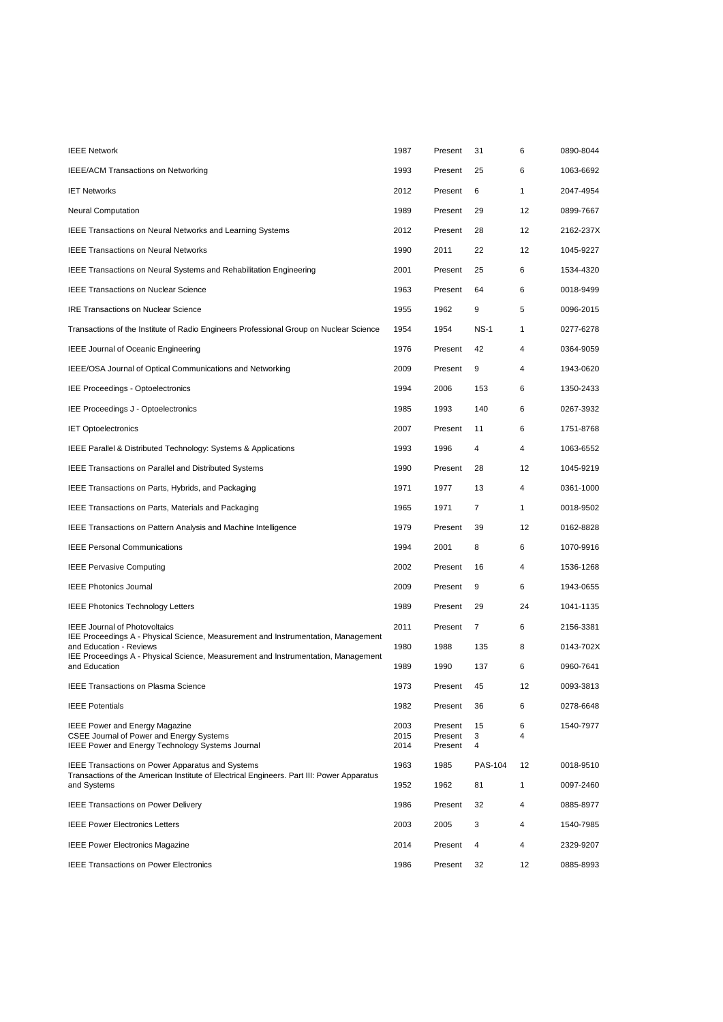| <b>IEEE Network</b>                                                                                                                   | 1987                 | Present                       | 31             | 6            | 0890-8044 |
|---------------------------------------------------------------------------------------------------------------------------------------|----------------------|-------------------------------|----------------|--------------|-----------|
| IEEE/ACM Transactions on Networking                                                                                                   | 1993                 | Present                       | 25             | 6            | 1063-6692 |
| <b>IET Networks</b>                                                                                                                   | 2012                 | Present                       | 6              | $\mathbf{1}$ | 2047-4954 |
| <b>Neural Computation</b>                                                                                                             | 1989                 | Present                       | 29             | 12           | 0899-7667 |
| <b>IEEE Transactions on Neural Networks and Learning Systems</b>                                                                      | 2012                 | Present                       | 28             | 12           | 2162-237X |
| <b>IEEE Transactions on Neural Networks</b>                                                                                           | 1990                 | 2011                          | 22             | 12           | 1045-9227 |
| <b>IEEE Transactions on Neural Systems and Rehabilitation Engineering</b>                                                             | 2001                 | Present                       | 25             | 6            | 1534-4320 |
| <b>IEEE Transactions on Nuclear Science</b>                                                                                           | 1963                 | Present                       | 64             | 6            | 0018-9499 |
| <b>IRE Transactions on Nuclear Science</b>                                                                                            | 1955                 | 1962                          | 9              | 5            | 0096-2015 |
| Transactions of the Institute of Radio Engineers Professional Group on Nuclear Science                                                | 1954                 | 1954                          | <b>NS-1</b>    | 1            | 0277-6278 |
| <b>IEEE Journal of Oceanic Engineering</b>                                                                                            | 1976                 | Present                       | 42             | 4            | 0364-9059 |
| IEEE/OSA Journal of Optical Communications and Networking                                                                             | 2009                 | Present                       | 9              | 4            | 1943-0620 |
| IEE Proceedings - Optoelectronics                                                                                                     | 1994                 | 2006                          | 153            | 6            | 1350-2433 |
| IEE Proceedings J - Optoelectronics                                                                                                   | 1985                 | 1993                          | 140            | 6            | 0267-3932 |
| <b>IET Optoelectronics</b>                                                                                                            | 2007                 | Present                       | 11             | 6            | 1751-8768 |
| IEEE Parallel & Distributed Technology: Systems & Applications                                                                        | 1993                 | 1996                          | 4              | 4            | 1063-6552 |
| <b>IEEE Transactions on Parallel and Distributed Systems</b>                                                                          | 1990                 | Present                       | 28             | 12           | 1045-9219 |
| IEEE Transactions on Parts, Hybrids, and Packaging                                                                                    | 1971                 | 1977                          | 13             | 4            | 0361-1000 |
| <b>IEEE Transactions on Parts, Materials and Packaging</b>                                                                            | 1965                 | 1971                          | $\overline{7}$ | $\mathbf{1}$ | 0018-9502 |
| IEEE Transactions on Pattern Analysis and Machine Intelligence                                                                        | 1979                 | Present                       | 39             | 12           | 0162-8828 |
| <b>IEEE Personal Communications</b>                                                                                                   | 1994                 | 2001                          | 8              | 6            | 1070-9916 |
| <b>IEEE Pervasive Computing</b>                                                                                                       | 2002                 | Present                       | 16             | 4            | 1536-1268 |
| <b>IEEE Photonics Journal</b>                                                                                                         | 2009                 | Present                       | 9              | 6            | 1943-0655 |
| <b>IEEE Photonics Technology Letters</b>                                                                                              | 1989                 | Present                       | 29             | 24           | 1041-1135 |
| <b>IEEE Journal of Photovoltaics</b>                                                                                                  | 2011                 | Present                       | 7              | 6            | 2156-3381 |
| IEE Proceedings A - Physical Science, Measurement and Instrumentation, Management<br>and Education - Reviews                          | 1980                 | 1988                          | 135            | 8            | 0143-702X |
| IEE Proceedings A - Physical Science, Measurement and Instrumentation, Management<br>and Education                                    | 1989                 | 1990                          | 137            | 6            | 0960-7641 |
| <b>IEEE Transactions on Plasma Science</b>                                                                                            | 1973                 | Present                       | 45             | 12           | 0093-3813 |
| <b>IEEE Potentials</b>                                                                                                                | 1982                 | Present                       | 36             | 6            | 0278-6648 |
| <b>IEEE Power and Energy Magazine</b><br>CSEE Journal of Power and Energy Systems<br>IEEE Power and Energy Technology Systems Journal | 2003<br>2015<br>2014 | Present<br>Present<br>Present | 15<br>3<br>4   | 6<br>4       | 1540-7977 |
| <b>IEEE Transactions on Power Apparatus and Systems</b>                                                                               | 1963                 | 1985                          | <b>PAS-104</b> | 12           | 0018-9510 |
| Transactions of the American Institute of Electrical Engineers. Part III: Power Apparatus<br>and Systems                              | 1952                 | 1962                          | 81             | 1            | 0097-2460 |
| <b>IEEE Transactions on Power Delivery</b>                                                                                            | 1986                 | Present                       | 32             | 4            | 0885-8977 |
| <b>IEEE Power Electronics Letters</b>                                                                                                 | 2003                 | 2005                          | 3              | 4            | 1540-7985 |
| <b>IEEE Power Electronics Magazine</b>                                                                                                | 2014                 | Present                       | 4              | 4            | 2329-9207 |
| <b>IEEE Transactions on Power Electronics</b>                                                                                         | 1986                 | Present                       | 32             | 12           | 0885-8993 |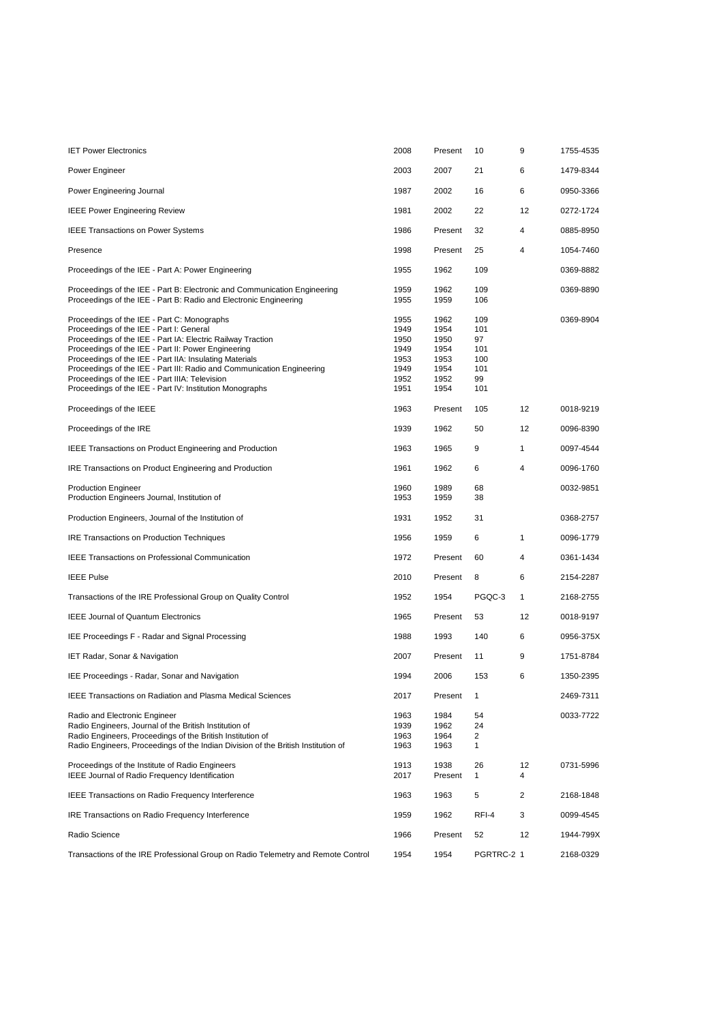| <b>IET Power Electronics</b>                                                                                                                                                                                                                                                                                                                                                                                                                                     | 2008                                                         | Present                                                      | 10                                                 | 9            | 1755-4535 |
|------------------------------------------------------------------------------------------------------------------------------------------------------------------------------------------------------------------------------------------------------------------------------------------------------------------------------------------------------------------------------------------------------------------------------------------------------------------|--------------------------------------------------------------|--------------------------------------------------------------|----------------------------------------------------|--------------|-----------|
| Power Engineer                                                                                                                                                                                                                                                                                                                                                                                                                                                   | 2003                                                         | 2007                                                         | 21                                                 | 6            | 1479-8344 |
| Power Engineering Journal                                                                                                                                                                                                                                                                                                                                                                                                                                        | 1987                                                         | 2002                                                         | 16                                                 | 6            | 0950-3366 |
| <b>IEEE Power Engineering Review</b>                                                                                                                                                                                                                                                                                                                                                                                                                             | 1981                                                         | 2002                                                         | 22                                                 | 12           | 0272-1724 |
| <b>IEEE Transactions on Power Systems</b>                                                                                                                                                                                                                                                                                                                                                                                                                        | 1986                                                         | Present                                                      | 32                                                 | 4            | 0885-8950 |
| Presence                                                                                                                                                                                                                                                                                                                                                                                                                                                         | 1998                                                         | Present                                                      | 25                                                 | 4            | 1054-7460 |
| Proceedings of the IEE - Part A: Power Engineering                                                                                                                                                                                                                                                                                                                                                                                                               | 1955                                                         | 1962                                                         | 109                                                |              | 0369-8882 |
| Proceedings of the IEE - Part B: Electronic and Communication Engineering<br>Proceedings of the IEE - Part B: Radio and Electronic Engineering                                                                                                                                                                                                                                                                                                                   | 1959<br>1955                                                 | 1962<br>1959                                                 | 109<br>106                                         |              | 0369-8890 |
| Proceedings of the IEE - Part C: Monographs<br>Proceedings of the IEE - Part I: General<br>Proceedings of the IEE - Part IA: Electric Railway Traction<br>Proceedings of the IEE - Part II: Power Engineering<br>Proceedings of the IEE - Part IIA: Insulating Materials<br>Proceedings of the IEE - Part III: Radio and Communication Engineering<br>Proceedings of the IEE - Part IIIA: Television<br>Proceedings of the IEE - Part IV: Institution Monographs | 1955<br>1949<br>1950<br>1949<br>1953<br>1949<br>1952<br>1951 | 1962<br>1954<br>1950<br>1954<br>1953<br>1954<br>1952<br>1954 | 109<br>101<br>97<br>101<br>100<br>101<br>99<br>101 |              | 0369-8904 |
| Proceedings of the IEEE                                                                                                                                                                                                                                                                                                                                                                                                                                          | 1963                                                         | Present                                                      | 105                                                | 12           | 0018-9219 |
| Proceedings of the IRE                                                                                                                                                                                                                                                                                                                                                                                                                                           | 1939                                                         | 1962                                                         | 50                                                 | 12           | 0096-8390 |
| IEEE Transactions on Product Engineering and Production                                                                                                                                                                                                                                                                                                                                                                                                          | 1963                                                         | 1965                                                         | 9                                                  | $\mathbf{1}$ | 0097-4544 |
| IRE Transactions on Product Engineering and Production                                                                                                                                                                                                                                                                                                                                                                                                           | 1961                                                         | 1962                                                         | 6                                                  | 4            | 0096-1760 |
| <b>Production Engineer</b><br>Production Engineers Journal, Institution of                                                                                                                                                                                                                                                                                                                                                                                       | 1960<br>1953                                                 | 1989<br>1959                                                 | 68<br>38                                           |              | 0032-9851 |
| Production Engineers, Journal of the Institution of                                                                                                                                                                                                                                                                                                                                                                                                              | 1931                                                         | 1952                                                         | 31                                                 |              | 0368-2757 |
| <b>IRE Transactions on Production Techniques</b>                                                                                                                                                                                                                                                                                                                                                                                                                 | 1956                                                         | 1959                                                         | 6                                                  | $\mathbf{1}$ | 0096-1779 |
| <b>IEEE Transactions on Professional Communication</b>                                                                                                                                                                                                                                                                                                                                                                                                           | 1972                                                         | Present                                                      | 60                                                 | 4            | 0361-1434 |
| <b>IEEE Pulse</b>                                                                                                                                                                                                                                                                                                                                                                                                                                                | 2010                                                         | Present                                                      | 8                                                  | 6            | 2154-2287 |
| Transactions of the IRE Professional Group on Quality Control                                                                                                                                                                                                                                                                                                                                                                                                    | 1952                                                         | 1954                                                         | PGQC-3                                             | $\mathbf{1}$ | 2168-2755 |
| <b>IEEE Journal of Quantum Electronics</b>                                                                                                                                                                                                                                                                                                                                                                                                                       | 1965                                                         | Present                                                      | 53                                                 | 12           | 0018-9197 |
| IEE Proceedings F - Radar and Signal Processing                                                                                                                                                                                                                                                                                                                                                                                                                  | 1988                                                         | 1993                                                         | 140                                                | 6            | 0956-375X |
| IET Radar, Sonar & Navigation                                                                                                                                                                                                                                                                                                                                                                                                                                    | 2007                                                         | Present                                                      | 11                                                 | 9            | 1751-8784 |
| IEE Proceedings - Radar, Sonar and Navigation                                                                                                                                                                                                                                                                                                                                                                                                                    | 1994                                                         | 2006                                                         | 153                                                | 6            | 1350-2395 |
| <b>IEEE Transactions on Radiation and Plasma Medical Sciences</b>                                                                                                                                                                                                                                                                                                                                                                                                | 2017                                                         | Present                                                      | 1                                                  |              | 2469-7311 |
| Radio and Electronic Engineer<br>Radio Engineers, Journal of the British Institution of<br>Radio Engineers, Proceedings of the British Institution of<br>Radio Engineers, Proceedings of the Indian Division of the British Institution of                                                                                                                                                                                                                       | 1963<br>1939<br>1963<br>1963                                 | 1984<br>1962<br>1964<br>1963                                 | 54<br>24<br>2<br>$\mathbf{1}$                      |              | 0033-7722 |
| Proceedings of the Institute of Radio Engineers<br>IEEE Journal of Radio Frequency Identification                                                                                                                                                                                                                                                                                                                                                                | 1913<br>2017                                                 | 1938<br>Present                                              | 26<br>$\mathbf{1}$                                 | 12<br>4      | 0731-5996 |
| <b>IEEE Transactions on Radio Frequency Interference</b>                                                                                                                                                                                                                                                                                                                                                                                                         | 1963                                                         | 1963                                                         | 5                                                  | 2            | 2168-1848 |
| IRE Transactions on Radio Frequency Interference                                                                                                                                                                                                                                                                                                                                                                                                                 | 1959                                                         | 1962                                                         | RFI-4                                              | 3            | 0099-4545 |
| Radio Science                                                                                                                                                                                                                                                                                                                                                                                                                                                    | 1966                                                         | Present                                                      | 52                                                 | 12           | 1944-799X |
| Transactions of the IRE Professional Group on Radio Telemetry and Remote Control                                                                                                                                                                                                                                                                                                                                                                                 | 1954                                                         | 1954                                                         | PGRTRC-2 1                                         |              | 2168-0329 |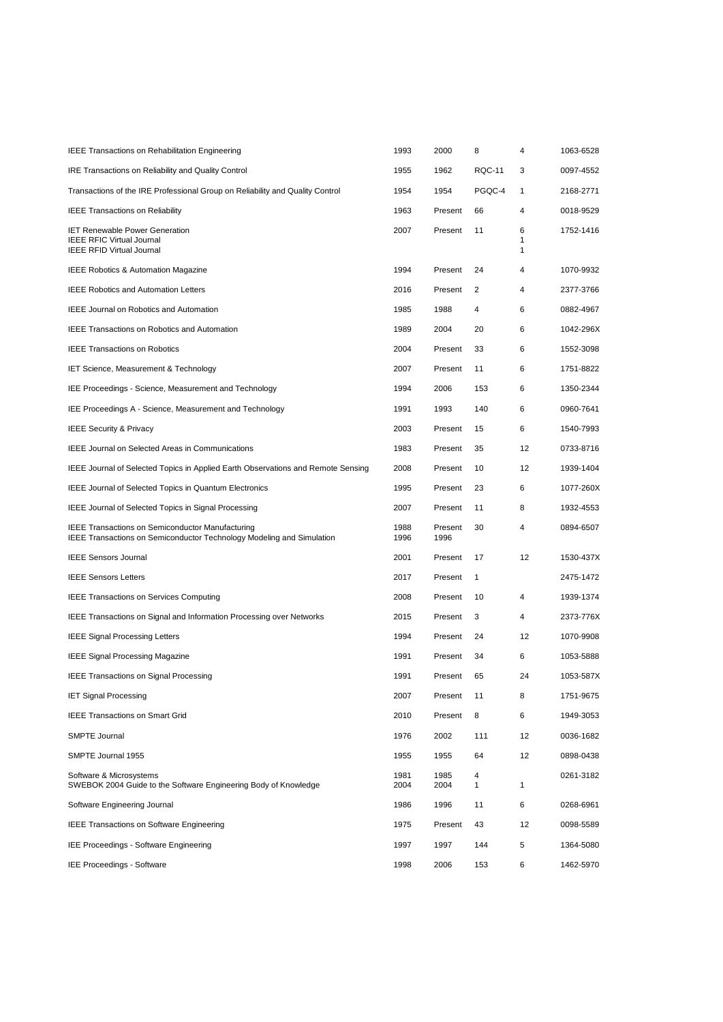| <b>IEEE Transactions on Rehabilitation Engineering</b>                                                                                  | 1993         | 2000            | 8             | 4           | 1063-6528 |
|-----------------------------------------------------------------------------------------------------------------------------------------|--------------|-----------------|---------------|-------------|-----------|
| IRE Transactions on Reliability and Quality Control                                                                                     | 1955         | 1962            | <b>RQC-11</b> | 3           | 0097-4552 |
| Transactions of the IRE Professional Group on Reliability and Quality Control                                                           | 1954         | 1954            | PGQC-4        | 1           | 2168-2771 |
| <b>IEEE Transactions on Reliability</b>                                                                                                 | 1963         | Present         | 66            | 4           | 0018-9529 |
| <b>IET Renewable Power Generation</b><br><b>IEEE RFIC Virtual Journal</b><br><b>IEEE RFID Virtual Journal</b>                           | 2007         | Present         | 11            | 6<br>1<br>1 | 1752-1416 |
| IEEE Robotics & Automation Magazine                                                                                                     | 1994         | Present         | 24            | 4           | 1070-9932 |
| <b>IEEE Robotics and Automation Letters</b>                                                                                             | 2016         | Present         | 2             | 4           | 2377-3766 |
| <b>IEEE Journal on Robotics and Automation</b>                                                                                          | 1985         | 1988            | 4             | 6           | 0882-4967 |
| <b>IEEE Transactions on Robotics and Automation</b>                                                                                     | 1989         | 2004            | 20            | 6           | 1042-296X |
| <b>IEEE Transactions on Robotics</b>                                                                                                    | 2004         | Present         | 33            | 6           | 1552-3098 |
| <b>IET Science, Measurement &amp; Technology</b>                                                                                        | 2007         | Present         | 11            | 6           | 1751-8822 |
| IEE Proceedings - Science, Measurement and Technology                                                                                   | 1994         | 2006            | 153           | 6           | 1350-2344 |
| IEE Proceedings A - Science, Measurement and Technology                                                                                 | 1991         | 1993            | 140           | 6           | 0960-7641 |
| <b>IEEE Security &amp; Privacy</b>                                                                                                      | 2003         | Present         | 15            | 6           | 1540-7993 |
| <b>IEEE Journal on Selected Areas in Communications</b>                                                                                 | 1983         | Present         | 35            | 12          | 0733-8716 |
| IEEE Journal of Selected Topics in Applied Earth Observations and Remote Sensing                                                        | 2008         | Present         | 10            | 12          | 1939-1404 |
| <b>IEEE Journal of Selected Topics in Quantum Electronics</b>                                                                           | 1995         | Present         | 23            | 6           | 1077-260X |
| IEEE Journal of Selected Topics in Signal Processing                                                                                    | 2007         | Present         | 11            | 8           | 1932-4553 |
| <b>IEEE Transactions on Semiconductor Manufacturing</b><br><b>IEEE Transactions on Semiconductor Technology Modeling and Simulation</b> | 1988<br>1996 | Present<br>1996 | 30            | 4           | 0894-6507 |
| <b>IEEE Sensors Journal</b>                                                                                                             | 2001         | Present         | 17            | 12          | 1530-437X |
| <b>IEEE Sensors Letters</b>                                                                                                             | 2017         | Present         | $\mathbf{1}$  |             | 2475-1472 |
| <b>IEEE Transactions on Services Computing</b>                                                                                          | 2008         | Present         | 10            | 4           | 1939-1374 |
| IEEE Transactions on Signal and Information Processing over Networks                                                                    | 2015         | Present         | 3             | 4           | 2373-776X |
| <b>IEEE Signal Processing Letters</b>                                                                                                   | 1994         | Present         | 24            | 12          | 1070-9908 |
| <b>IEEE Signal Processing Magazine</b>                                                                                                  | 1991         | Present         | 34            | 6           | 1053-5888 |
| <b>IEEE Transactions on Signal Processing</b>                                                                                           | 1991         | Present         | 65            | 24          | 1053-587X |
| <b>IET Signal Processing</b>                                                                                                            | 2007         | Present         | 11            | 8           | 1751-9675 |
| <b>IEEE Transactions on Smart Grid</b>                                                                                                  | 2010         | Present         | 8             | 6           | 1949-3053 |
| SMPTE Journal                                                                                                                           | 1976         | 2002            | 111           | 12          | 0036-1682 |
| SMPTE Journal 1955                                                                                                                      | 1955         | 1955            | 64            | 12          | 0898-0438 |
| Software & Microsystems<br>SWEBOK 2004 Guide to the Software Engineering Body of Knowledge                                              | 1981<br>2004 | 1985<br>2004    | 4<br>1        | 1           | 0261-3182 |
| Software Engineering Journal                                                                                                            | 1986         | 1996            | 11            | 6           | 0268-6961 |
| <b>IEEE Transactions on Software Engineering</b>                                                                                        | 1975         | Present         | 43            | 12          | 0098-5589 |
| IEE Proceedings - Software Engineering                                                                                                  | 1997         | 1997            | 144           | 5           | 1364-5080 |
| <b>IEE Proceedings - Software</b>                                                                                                       | 1998         | 2006            | 153           | 6           | 1462-5970 |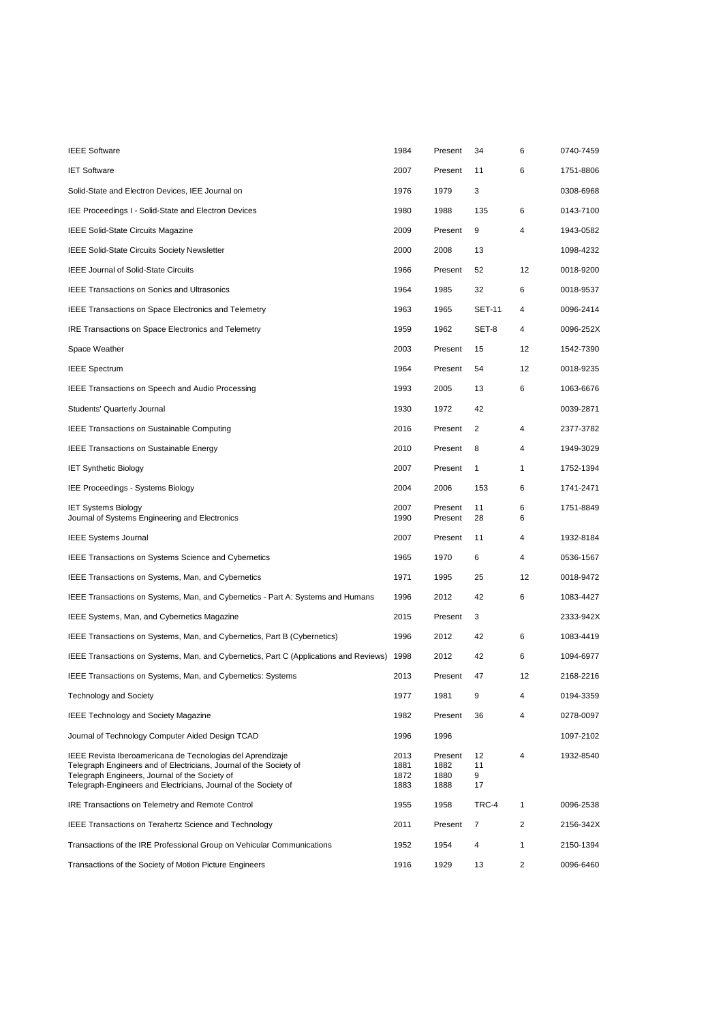| <b>IEEE Software</b>                                                                                                                                                                                                                                  | 1984                         | Present                         | 34                  | 6              | 0740-7459 |
|-------------------------------------------------------------------------------------------------------------------------------------------------------------------------------------------------------------------------------------------------------|------------------------------|---------------------------------|---------------------|----------------|-----------|
| <b>IET Software</b>                                                                                                                                                                                                                                   | 2007                         | Present                         | 11                  | 6              | 1751-8806 |
| Solid-State and Electron Devices, IEE Journal on                                                                                                                                                                                                      | 1976                         | 1979                            | 3                   |                | 0308-6968 |
| IEE Proceedings I - Solid-State and Electron Devices                                                                                                                                                                                                  | 1980                         | 1988                            | 135                 | 6              | 0143-7100 |
| <b>IEEE Solid-State Circuits Magazine</b>                                                                                                                                                                                                             | 2009                         | Present                         | 9                   | 4              | 1943-0582 |
| <b>IEEE Solid-State Circuits Society Newsletter</b>                                                                                                                                                                                                   | 2000                         | 2008                            | 13                  |                | 1098-4232 |
| <b>IEEE Journal of Solid-State Circuits</b>                                                                                                                                                                                                           | 1966                         | Present                         | 52                  | 12             | 0018-9200 |
| <b>IEEE Transactions on Sonics and Ultrasonics</b>                                                                                                                                                                                                    | 1964                         | 1985                            | 32                  | 6              | 0018-9537 |
| <b>IEEE Transactions on Space Electronics and Telemetry</b>                                                                                                                                                                                           | 1963                         | 1965                            | <b>SET-11</b>       | 4              | 0096-2414 |
| <b>IRE Transactions on Space Electronics and Telemetry</b>                                                                                                                                                                                            | 1959                         | 1962                            | SET-8               | 4              | 0096-252X |
| Space Weather                                                                                                                                                                                                                                         | 2003                         | Present                         | 15                  | 12             | 1542-7390 |
| <b>IEEE Spectrum</b>                                                                                                                                                                                                                                  | 1964                         | Present                         | 54                  | 12             | 0018-9235 |
| <b>IEEE Transactions on Speech and Audio Processing</b>                                                                                                                                                                                               | 1993                         | 2005                            | 13                  | 6              | 1063-6676 |
| Students' Quarterly Journal                                                                                                                                                                                                                           | 1930                         | 1972                            | 42                  |                | 0039-2871 |
| <b>IEEE Transactions on Sustainable Computing</b>                                                                                                                                                                                                     | 2016                         | Present                         | 2                   | 4              | 2377-3782 |
| <b>IEEE Transactions on Sustainable Energy</b>                                                                                                                                                                                                        | 2010                         | Present                         | 8                   | 4              | 1949-3029 |
| <b>IET Synthetic Biology</b>                                                                                                                                                                                                                          | 2007                         | Present                         | $\mathbf{1}$        | 1              | 1752-1394 |
| IEE Proceedings - Systems Biology                                                                                                                                                                                                                     | 2004                         | 2006                            | 153                 | 6              | 1741-2471 |
| <b>IET Systems Biology</b><br>Journal of Systems Engineering and Electronics                                                                                                                                                                          | 2007<br>1990                 | Present<br>Present              | 11<br>28            | 6<br>6         | 1751-8849 |
| <b>IEEE Systems Journal</b>                                                                                                                                                                                                                           | 2007                         | Present                         | 11                  | 4              | 1932-8184 |
| <b>IEEE Transactions on Systems Science and Cybernetics</b>                                                                                                                                                                                           | 1965                         | 1970                            | 6                   | 4              | 0536-1567 |
| <b>IEEE Transactions on Systems, Man, and Cybernetics</b>                                                                                                                                                                                             | 1971                         | 1995                            | 25                  | 12             | 0018-9472 |
| IEEE Transactions on Systems, Man, and Cybernetics - Part A: Systems and Humans                                                                                                                                                                       | 1996                         | 2012                            | 42                  | 6              | 1083-4427 |
| <b>IEEE Systems, Man, and Cybernetics Magazine</b>                                                                                                                                                                                                    | 2015                         | Present                         | 3                   |                | 2333-942X |
| IEEE Transactions on Systems, Man, and Cybernetics, Part B (Cybernetics)                                                                                                                                                                              | 1996                         | 2012                            | 42                  | 6              | 1083-4419 |
| IEEE Transactions on Systems, Man, and Cybernetics, Part C (Applications and Reviews)                                                                                                                                                                 | 1998                         | 2012                            | 42                  | 6              | 1094-6977 |
| IEEE Transactions on Systems, Man, and Cybernetics: Systems                                                                                                                                                                                           | 2013                         | Present                         | 47                  | 12             | 2168-2216 |
| <b>Technology and Society</b>                                                                                                                                                                                                                         | 1977                         | 1981                            | 9                   | 4              | 0194-3359 |
| <b>IEEE Technology and Society Magazine</b>                                                                                                                                                                                                           | 1982                         | Present                         | 36                  | 4              | 0278-0097 |
| Journal of Technology Computer Aided Design TCAD                                                                                                                                                                                                      | 1996                         | 1996                            |                     |                | 1097-2102 |
| IEEE Revista Iberoamericana de Tecnologias del Aprendizaje<br>Telegraph Engineers and of Electricians, Journal of the Society of<br>Telegraph Engineers, Journal of the Society of<br>Telegraph-Engineers and Electricians, Journal of the Society of | 2013<br>1881<br>1872<br>1883 | Present<br>1882<br>1880<br>1888 | 12<br>11<br>9<br>17 | 4              | 1932-8540 |
| IRE Transactions on Telemetry and Remote Control                                                                                                                                                                                                      | 1955                         | 1958                            | TRC-4               | $\mathbf{1}$   | 0096-2538 |
| <b>IEEE Transactions on Terahertz Science and Technology</b>                                                                                                                                                                                          | 2011                         | Present                         | 7                   | $\overline{2}$ | 2156-342X |
| Transactions of the IRE Professional Group on Vehicular Communications                                                                                                                                                                                | 1952                         | 1954                            | 4                   | 1              | 2150-1394 |
| Transactions of the Society of Motion Picture Engineers                                                                                                                                                                                               | 1916                         | 1929                            | 13                  | $\overline{2}$ | 0096-6460 |